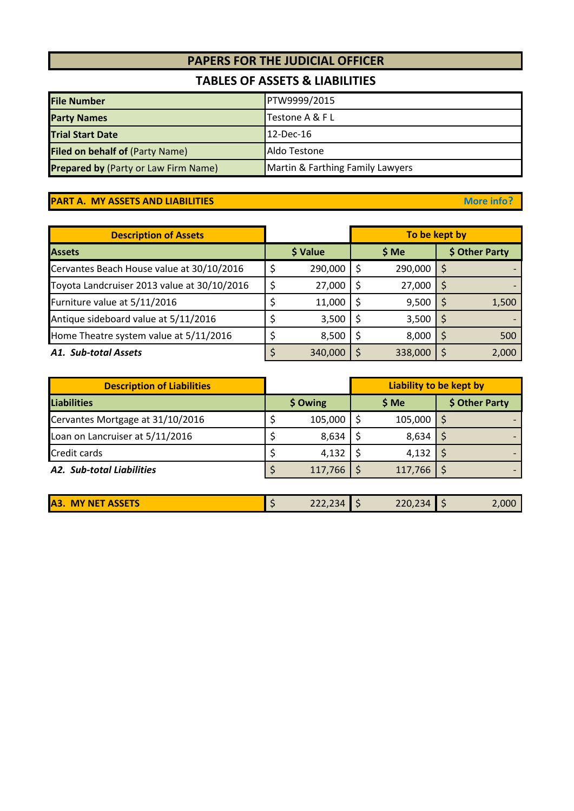# **PAPERS FOR THE JUDICIAL OFFICER**

## **TABLES OF ASSETS & LIABILITIES**

| <b>File Number</b>                          | PTW9999/2015                     |
|---------------------------------------------|----------------------------------|
| <b>Party Names</b>                          | Testone A & F L                  |
| <b>Trial Start Date</b>                     | $12$ -Dec-16                     |
| <b>Filed on behalf of (Party Name)</b>      | Aldo Testone                     |
| <b>Prepared by (Party or Law Firm Name)</b> | Martin & Farthing Family Lawyers |

## **PART A. MY ASSETS AND LIABILITIES More info? More info?**

| <b>Description of Assets</b>                |          | To be kept by |         |    |                |
|---------------------------------------------|----------|---------------|---------|----|----------------|
| <b>Assets</b>                               | \$ Value |               | \$ Me   |    | \$ Other Party |
| Cervantes Beach House value at 30/10/2016   | 290,000  |               | 290,000 | S  |                |
| Toyota Landcruiser 2013 value at 30/10/2016 | 27,000   |               | 27,000  | \$ |                |
| Furniture value at 5/11/2016                | 11,000   |               | 9,500   | S  | 1,500          |
| Antique sideboard value at 5/11/2016        | 3,500    |               | 3,500   | \$ |                |
| Home Theatre system value at 5/11/2016      | 8,500    |               | 8,000   |    | 500            |
| A1. Sub-total Assets                        | 340,000  |               | 338,000 |    | 2,000          |

| <b>Description of Liabilities</b> |          |         | Liability to be kept by |         |                |  |
|-----------------------------------|----------|---------|-------------------------|---------|----------------|--|
| Liabilities                       | \$ Owing |         |                         | \$ Me   | \$ Other Party |  |
| Cervantes Mortgage at 31/10/2016  |          | 105,000 |                         | 105,000 |                |  |
| Loan on Lancruiser at 5/11/2016   |          | 8,634   |                         | 8,634   |                |  |
| <b>Credit cards</b>               |          | 4,132   |                         | 4,132   |                |  |
| A2. Sub-total Liabilities         |          | 117,766 |                         | 117,766 |                |  |

|  | <b>ASSETS</b><br><b>A3. MY NET</b> |  | 222,234 |  | $220,234$ \$ |  | $\angle,000^\circ$ |
|--|------------------------------------|--|---------|--|--------------|--|--------------------|
|--|------------------------------------|--|---------|--|--------------|--|--------------------|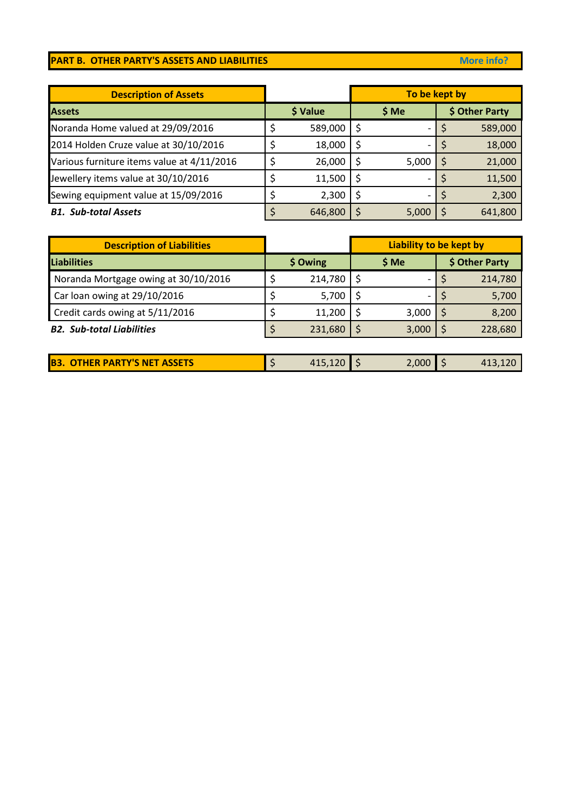## **PART B. OTHER PARTY'S ASSETS AND LIABILITIES More info?** More info?

| <b>Description of Assets</b>               |          | To be kept by |       |  |                |
|--------------------------------------------|----------|---------------|-------|--|----------------|
| <b>Assets</b>                              | \$ Value |               | \$ Me |  | \$ Other Party |
| Noranda Home valued at 29/09/2016          | 589,000  |               |       |  | 589,000        |
| 2014 Holden Cruze value at 30/10/2016      | 18,000   |               |       |  | 18,000         |
| Various furniture items value at 4/11/2016 | 26,000   |               | 5,000 |  | 21,000         |
| Jewellery items value at 30/10/2016        | 11,500   |               |       |  | 11,500         |
| Sewing equipment value at 15/09/2016       | 2,300    |               |       |  | 2,300          |
| <b>B1. Sub-total Assets</b>                | 646,800  |               | 5,000 |  | 641,800        |

| <b>Description of Liabilities</b>    |          |         | Liability to be kept by |       |  |                |
|--------------------------------------|----------|---------|-------------------------|-------|--|----------------|
| <b>Liabilities</b>                   | \$ Owing |         |                         | \$ Me |  | \$ Other Party |
| Noranda Mortgage owing at 30/10/2016 |          | 214,780 |                         |       |  | 214,780        |
| Car loan owing at 29/10/2016         |          | 5,700   |                         |       |  | 5,700          |
| Credit cards owing at 5/11/2016      |          | 11,200  |                         | 3,000 |  | 8,200          |
| <b>B2. Sub-total Liabilities</b>     |          | 231,680 |                         | 3,000 |  | 228,680        |

| <b>B3. OTHER PARTY'S NET ASSETS</b><br>2,000 ┃ \$<br>$415,120$   \$ |
|---------------------------------------------------------------------|
|---------------------------------------------------------------------|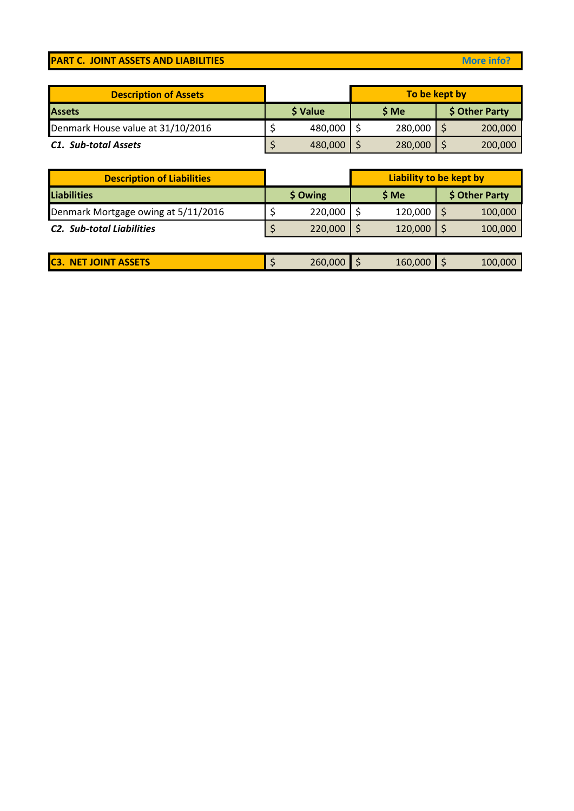## **PART C. JOINT ASSETS AND LIABILITIES More info?** More info?

| <b>Description of Assets</b>      |          | To be kept by |         |  |                |  |
|-----------------------------------|----------|---------------|---------|--|----------------|--|
| <b>Assets</b>                     | \$ Value |               | \$ Me   |  | \$ Other Party |  |
| Denmark House value at 31/10/2016 | 480,000  |               | 280,000 |  | 200,000        |  |
| <b>C1. Sub-total Assets</b>       | 480,000  |               | 280,000 |  | 200,000        |  |

| <b>Description of Liabilities</b>   |          |         | Liability to be kept by |         |  |                |
|-------------------------------------|----------|---------|-------------------------|---------|--|----------------|
| <b>Liabilities</b>                  | \$ Owing |         |                         | \$ Me   |  | \$ Other Party |
| Denmark Mortgage owing at 5/11/2016 |          | 220,000 |                         | 120,000 |  | 100,000        |
| <b>C2.</b> Sub-total Liabilities    |          | 220,000 |                         | 120,000 |  | 100,000        |

| <b>ASSETS</b><br>IC3.<br><b><i>CONTRACTOR</i></b><br><b>ANET</b><br><b>IOIN</b> | 260,000 | 160,000 | - | 100,000 |
|---------------------------------------------------------------------------------|---------|---------|---|---------|
|                                                                                 |         |         |   |         |